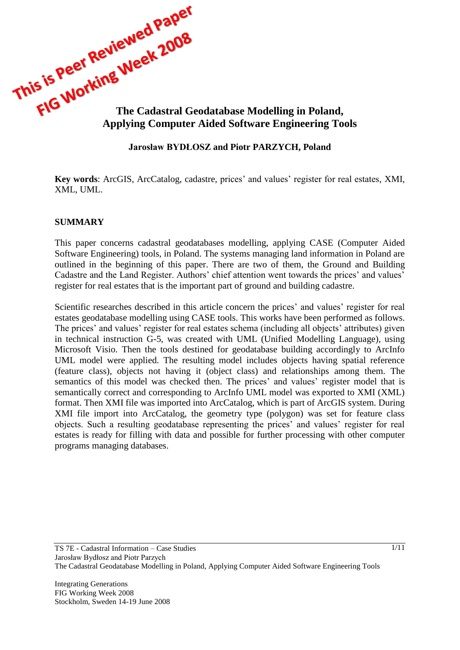

#### **Jarosław BYDŁOSZ and Piotr PARZYCH, Poland**

**Key words**: ArcGIS, ArcCatalog, cadastre, prices' and values' register for real estates, XMI, XML, UML.

#### **SUMMARY**

This paper concerns cadastral geodatabases modelling, applying CASE (Computer Aided Software Engineering) tools, in Poland. The systems managing land information in Poland are outlined in the beginning of this paper. There are two of them, the Ground and Building Cadastre and the Land Register. Authors' chief attention went towards the prices' and values' register for real estates that is the important part of ground and building cadastre.

Scientific researches described in this article concern the prices' and values' register for real estates geodatabase modelling using CASE tools. This works have been performed as follows. The prices' and values' register for real estates schema (including all objects' attributes) given in technical instruction G-5, was created with UML (Unified Modelling Language), using Microsoft Visio. Then the tools destined for geodatabase building accordingly to ArcInfo UML model were applied. The resulting model includes objects having spatial reference (feature class), objects not having it (object class) and relationships among them. The semantics of this model was checked then. The prices' and values' register model that is semantically correct and corresponding to ArcInfo UML model was exported to XMI (XML) format. Then XMI file was imported into ArcCatalog, which is part of ArcGIS system. During XMI file import into ArcCatalog, the geometry type (polygon) was set for feature class objects. Such a resulting geodatabase representing the prices' and values' register for real estates is ready for filling with data and possible for further processing with other computer programs managing databases.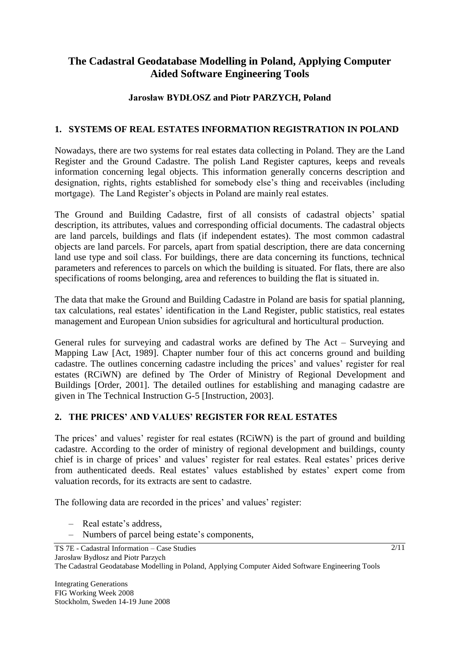# **The Cadastral Geodatabase Modelling in Poland, Applying Computer Aided Software Engineering Tools**

### **Jarosław BYDŁOSZ and Piotr PARZYCH, Poland**

#### **1. SYSTEMS OF REAL ESTATES INFORMATION REGISTRATION IN POLAND**

Nowadays, there are two systems for real estates data collecting in Poland. They are the Land Register and the Ground Cadastre. The polish Land Register captures, keeps and reveals information concerning legal objects. This information generally concerns description and designation, rights, rights established for somebody else's thing and receivables (including mortgage). The Land Register's objects in Poland are mainly real estates.

The Ground and Building Cadastre, first of all consists of cadastral objects' spatial description, its attributes, values and corresponding official documents. The cadastral objects are land parcels, buildings and flats (if independent estates). The most common cadastral objects are land parcels. For parcels, apart from spatial description, there are data concerning land use type and soil class. For buildings, there are data concerning its functions, technical parameters and references to parcels on which the building is situated. For flats, there are also specifications of rooms belonging, area and references to building the flat is situated in.

The data that make the Ground and Building Cadastre in Poland are basis for spatial planning, tax calculations, real estates' identification in the Land Register, public statistics, real estates management and European Union subsidies for agricultural and horticultural production.

General rules for surveying and cadastral works are defined by The Act – Surveying and Mapping Law [Act, 1989]. Chapter number four of this act concerns ground and building cadastre. The outlines concerning cadastre including the prices' and values' register for real estates (RCiWN) are defined by The Order of Ministry of Regional Development and Buildings [Order, 2001]. The detailed outlines for establishing and managing cadastre are given in The Technical Instruction G-5 [Instruction, 2003].

### **2. THE PRICES' AND VALUES' REGISTER FOR REAL ESTATES**

The prices' and values' register for real estates (RCiWN) is the part of ground and building cadastre. According to the order of ministry of regional development and buildings, county chief is in charge of prices' and values' register for real estates. Real estates' prices derive from authenticated deeds. Real estates' values established by estates' expert come from valuation records, for its extracts are sent to cadastre.

The following data are recorded in the prices' and values' register:

- Real estate's address,
- Numbers of parcel being estate's components,

 $2/11$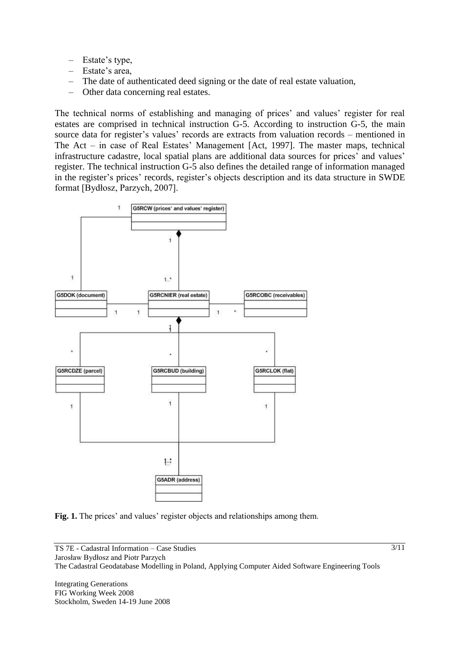- Estate's type,
- Estate's area,
- The date of authenticated deed signing or the date of real estate valuation,
- Other data concerning real estates.

The technical norms of establishing and managing of prices' and values' register for real estates are comprised in technical instruction G-5. According to instruction G-5, the main source data for register's values' records are extracts from valuation records – mentioned in The Act – in case of Real Estates' Management [Act, 1997]. The master maps, technical infrastructure cadastre, local spatial plans are additional data sources for prices' and values' register. The technical instruction G-5 also defines the detailed range of information managed in the register's prices' records, register's objects description and its data structure in SWDE format [Bydłosz, Parzych, 2007].



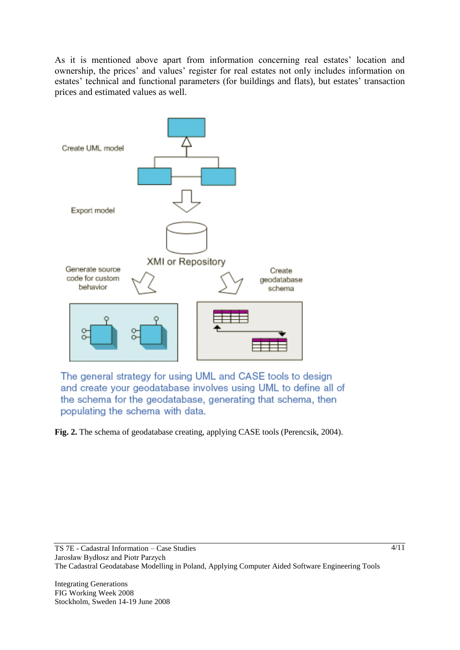As it is mentioned above apart from information concerning real estates' location and ownership, the prices' and values' register for real estates not only includes information on estates' technical and functional parameters (for buildings and flats), but estates' transaction prices and estimated values as well.



The general strategy for using UML and CASE tools to design and create your geodatabase involves using UML to define all of the schema for the geodatabase, generating that schema, then populating the schema with data.

**Fig. 2.** The schema of geodatabase creating, applying CASE tools (Perencsik, 2004).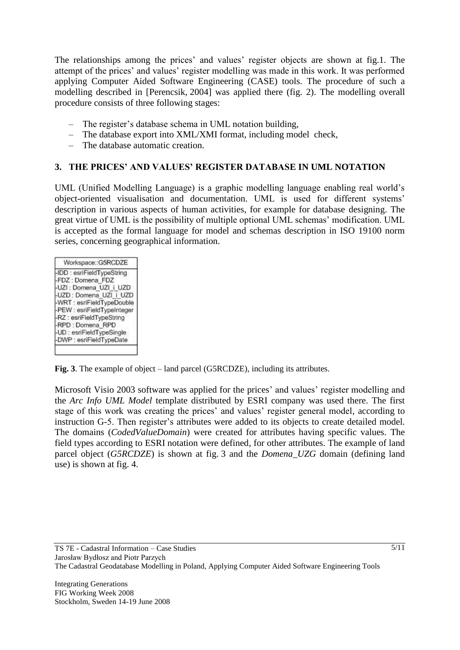The relationships among the prices' and values' register objects are shown at fig.1. The attempt of the prices' and values' register modelling was made in this work. It was performed applying Computer Aided Software Engineering (CASE) tools. The procedure of such a modelling described in [Perencsik, 2004] was applied there (fig. 2). The modelling overall procedure consists of three following stages:

- The register's database schema in UML notation building,
- The database export into XML/XMI format, including model check,
- The database automatic creation.

#### **3. THE PRICES' AND VALUES' REGISTER DATABASE IN UML NOTATION**

UML (Unified Modelling Language) is a graphic modelling language enabling real world's object-oriented visualisation and documentation. UML is used for different systems' description in various aspects of human activities, for example for database designing. The great virtue of UML is the possibility of multiple optional UML schemas' modification. UML is accepted as the formal language for model and schemas description in ISO 19100 norm series, concerning geographical information.

| Workspace::G5RCDZE          |
|-----------------------------|
| -IDD : esriFieldTypeString  |
| FDZ: Domena FDZ             |
| -UZI : Domena UZI i UZD     |
| I-UZD : Domena UZI i UZD    |
| -WRT : esriFieldTypeDouble  |
| -PEW : esriFieldTypeInteger |
| -RZ : esriFieldTypeString   |
| -RPD : Domena RPD           |
| -UD : esriFieldTypeSingle   |
| -DWP : esriFieldTypeDate    |

**Fig. 3**. The example of object – land parcel (G5RCDZE), including its attributes.

Microsoft Visio 2003 software was applied for the prices' and values' register modelling and the *Arc Info UML Model* template distributed by ESRI company was used there. The first stage of this work was creating the prices' and values' register general model, according to instruction G-5. Then register's attributes were added to its objects to create detailed model. The domains (*CodedValueDomain*) were created for attributes having specific values. The field types according to ESRI notation were defined, for other attributes. The example of land parcel object (*G5RCDZE*) is shown at fig. 3 and the *Domena\_UZG* domain (defining land use) is shown at fig. 4.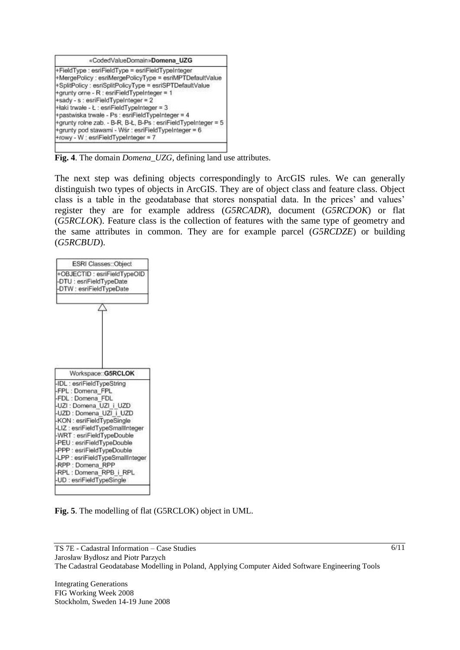| «CodedValueDomain»Domena_UZG                                                                                                                                                                                                                                                                                                                                                                                                           |
|----------------------------------------------------------------------------------------------------------------------------------------------------------------------------------------------------------------------------------------------------------------------------------------------------------------------------------------------------------------------------------------------------------------------------------------|
| +FieldType : esriFieldType = esriFieldTypeInteger<br>+MergePolicy : esriMergePolicyType = esriMPTDefaultValue<br>+SplitPolicy : esriSplitPolicyType = esriSPTDefaultValue<br>+grunty orne - R : esriFieldTypeInteger = 1<br>+sady - s : esriFieldTypeInteger = 2<br>+łaki trwałe - Ł : esriFieldTypeInteger = 3<br>+pastwiska trwałe - Ps : esriFieldTypeInteger = 4<br>+grunty rolne zab. - B-R, B-Ł, B-Ps : esriFieldTypeInteger = 5 |
| +grunty pod stawami - Wśr : esriFieldTypeInteger = 6<br>+rowy - W : esriFieldTypeInteger = 7                                                                                                                                                                                                                                                                                                                                           |

**Fig.** 4. The domain *Domena* UZG, defining land use attributes.

The next step was defining objects correspondingly to ArcGIS rules. We can generally distinguish two types of objects in ArcGIS. They are of object class and feature class. Object class is a table in the geodatabase that stores nonspatial data. In the prices' and values' register they are for example address (*G5RCADR*), document (*G5RCDOK*) or flat (*G5RCLOK*). Feature class is the collection of features with the same type of geometry and the same attributes in common. They are for example parcel (*G5RCDZE*) or building (*G5RCBUD*).



|  |  |  |  |  | Fig. 5. The modelling of flat (G5RCLOK) object in UML. |  |  |  |
|--|--|--|--|--|--------------------------------------------------------|--|--|--|
|--|--|--|--|--|--------------------------------------------------------|--|--|--|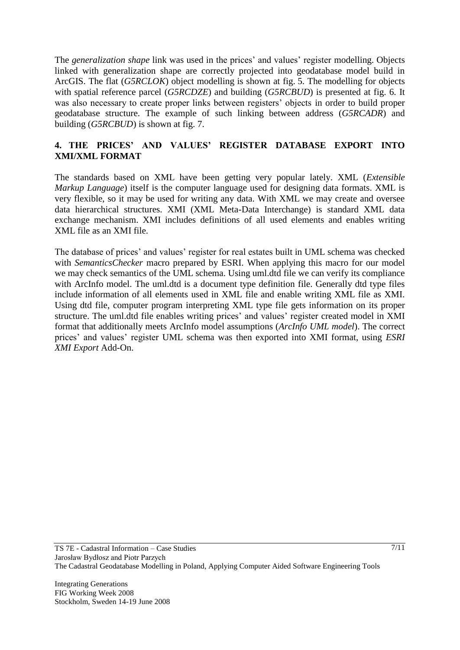The *generalization shape* link was used in the prices' and values' register modelling. Objects linked with generalization shape are correctly projected into geodatabase model build in ArcGIS. The flat (*G5RCLOK*) object modelling is shown at fig. 5. The modelling for objects with spatial reference parcel (*G5RCDZE*) and building (*G5RCBUD*) is presented at fig. 6. It was also necessary to create proper links between registers' objects in order to build proper geodatabase structure. The example of such linking between address (*G5RCADR*) and building (*G5RCBUD*) is shown at fig. 7.

#### **4. THE PRICES' AND VALUES' REGISTER DATABASE EXPORT INTO XMI/XML FORMAT**

The standards based on XML have been getting very popular lately. XML (*Extensible Markup Language*) itself is the computer language used for designing data formats. XML is very flexible, so it may be used for writing any data. With XML we may create and oversee data hierarchical structures. XMI (XML Meta-Data Interchange) is standard XML data exchange mechanism. XMI includes definitions of all used elements and enables writing XML file as an XMI file.

The database of prices' and values' register for real estates built in UML schema was checked with *SemanticsChecker* macro prepared by ESRI. When applying this macro for our model we may check semantics of the UML schema. Using uml.dtd file we can verify its compliance with ArcInfo model. The uml.dtd is a document type definition file. Generally dtd type files include information of all elements used in XML file and enable writing XML file as XMI. Using dtd file, computer program interpreting XML type file gets information on its proper structure. The uml.dtd file enables writing prices' and values' register created model in XMI format that additionally meets ArcInfo model assumptions (*ArcInfo UML model*). The correct prices' and values' register UML schema was then exported into XMI format, using *ESRI XMI Export* Add-On.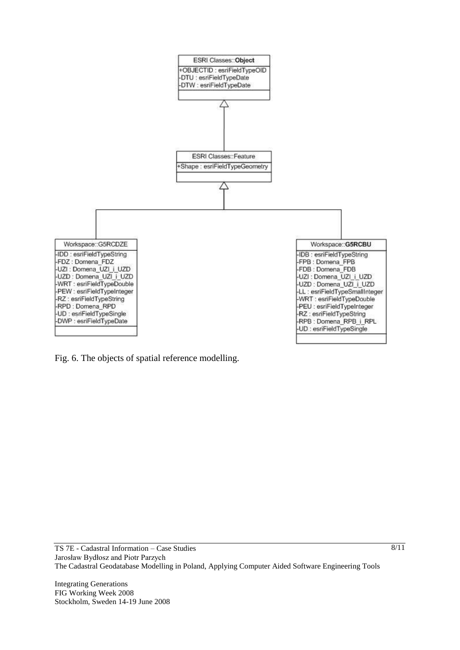

Fig. 6. The objects of spatial reference modelling.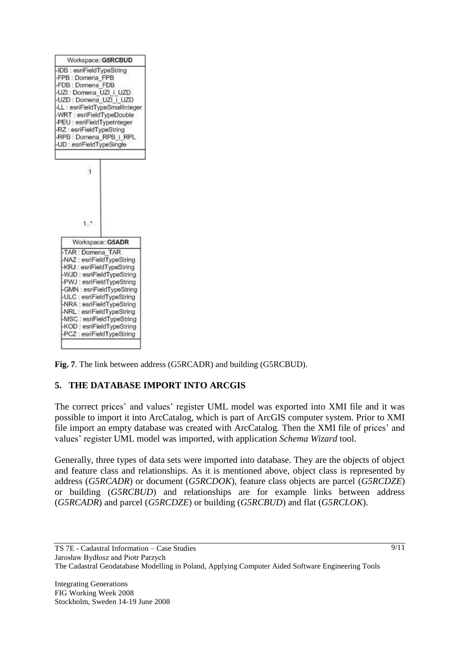

**Fig. 7**. The link between address (G5RCADR) and building (G5RCBUD).

# **5. THE DATABASE IMPORT INTO ARCGIS**

The correct prices' and values' register UML model was exported into XMI file and it was possible to import it into ArcCatalog, which is part of ArcGIS computer system. Prior to XMI file import an empty database was created with ArcCatalog. Then the XMI file of prices' and values' register UML model was imported, with application *Schema Wizard* tool.

Generally, three types of data sets were imported into database. They are the objects of object and feature class and relationships. As it is mentioned above, object class is represented by address (*G5RCADR*) or document (*G5RCDOK*), feature class objects are parcel (*G5RCDZE*) or building (*G5RCBUD*) and relationships are for example links between address (*G5RCADR*) and parcel (*G5RCDZE*) or building (*G5RCBUD*) and flat (*G5RCLOK*).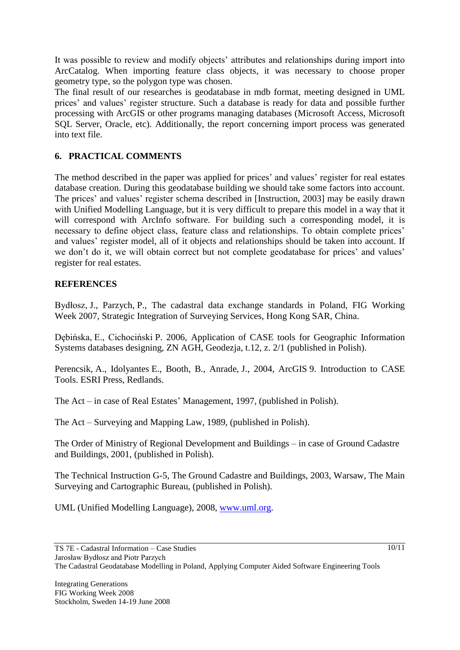It was possible to review and modify objects' attributes and relationships during import into ArcCatalog. When importing feature class objects, it was necessary to choose proper geometry type, so the polygon type was chosen.

The final result of our researches is geodatabase in mdb format, meeting designed in UML prices' and values' register structure. Such a database is ready for data and possible further processing with ArcGIS or other programs managing databases (Microsoft Access, Microsoft SQL Server, Oracle, etc). Additionally, the report concerning import process was generated into text file.

## **6. PRACTICAL COMMENTS**

The method described in the paper was applied for prices' and values' register for real estates database creation. During this geodatabase building we should take some factors into account. The prices' and values' register schema described in [Instruction, 2003] may be easily drawn with Unified Modelling Language, but it is very difficult to prepare this model in a way that it will correspond with ArcInfo software. For building such a corresponding model, it is necessary to define object class, feature class and relationships. To obtain complete prices' and values' register model, all of it objects and relationships should be taken into account. If we don't do it, we will obtain correct but not complete geodatabase for prices' and values' register for real estates.

### **REFERENCES**

Bydłosz, J., Parzych, P., The cadastral data exchange standards in Poland, FIG Working Week 2007, Strategic Integration of Surveying Services, Hong Kong SAR, China.

Dębińska, E., Cichociński P. 2006, Application of CASE tools for Geographic Information Systems databases designing, ZN AGH, Geodezja, t.12, z. 2/1 (published in Polish).

Perencsik, A., Idolyantes E., Booth, B., Anrade, J., 2004, ArcGIS 9. Introduction to CASE Tools. ESRI Press, Redlands.

The Act – in case of Real Estates' Management, 1997, (published in Polish).

The Act – Surveying and Mapping Law, 1989, (published in Polish).

The Order of Ministry of Regional Development and Buildings – in case of Ground Cadastre and Buildings, 2001, (published in Polish).

The Technical Instruction G-5, The Ground Cadastre and Buildings, 2003, Warsaw, The Main Surveying and Cartographic Bureau, (published in Polish).

UML (Unified Modelling Language), 2008, [www.uml.org.](http://www.uml.org/)

10/11